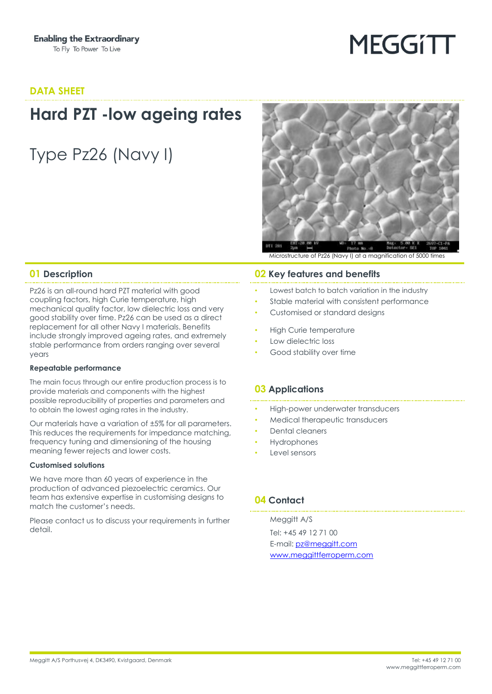# **MEGGITT**

#### **DATA SHEET**

## **Hard PZT -low ageing rates**

Type Pz26 (Navy I)



Microstructure of Pz26 (Navy I) at a magnification of 5000 times

Pz26 is an all-round hard PZT material with good coupling factors, high Curie temperature, high mechanical quality factor, low dielectric loss and very good stability over time. Pz26 can be used as a direct replacement for all other Navy I materials. Benefits include strongly improved ageing rates, and extremely stable performance from orders ranging over several years

#### **Repeatable performance**

The main focus through our entire production process is to provide materials and components with the highest possible reproducibility of properties and parameters and to obtain the lowest aging rates in the industry.

Our materials have a variation of ±5% for all parameters. This reduces the requirements for impedance matching, frequency tuning and dimensioning of the housing meaning fewer rejects and lower costs.

#### **Customised solutions**

We have more than 60 years of experience in the production of advanced piezoelectric ceramics. Our team has extensive expertise in customising designs to match the customer's needs.

Please contact us to discuss your requirements in further detail.

#### **01 Description 02 Key features and benefits**

- Lowest batch to batch variation in the industry
- Stable material with consistent performance
- Customised or standard designs
- High Curie temperature
- Low dielectric loss
- Good stability over time

#### **03 Applications**

- High-power underwater transducers
- Medical therapeutic transducers
- Dental cleaners
- **Hydrophones**
- Level sensors

#### **04 Contact**

Meggitt A/S Tel: +45 49 12 71 00 E-mail: [pz@meggitt.com](mailto:pz@meggitt.com) [www.meggittferroperm.com](http://www.meggittferroperm.com/)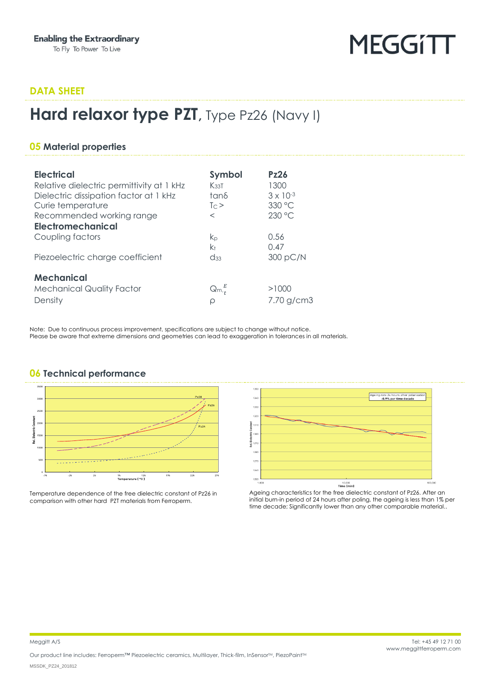## **MEGGITT**

#### **DATA SHEET**

### **Hard relaxor type PZT**, Type Pz26 (Navy I)

#### **05 Material properties**

| <b>Electrical</b><br>Relative dielectric permittivity at 1 kHz<br>Dielectric dissipation factor at 1 kHz<br>Curie temperature<br>Recommended working range<br><b>Electromechanical</b> | Symbol<br>K <sub>33</sub> T<br>tanδ<br>$T \cap \geq$<br>$\,<\,$ | P <sub>Z</sub> 26<br>1300<br>$3 \times 10^{-3}$<br>330 °C<br>230 °C |
|----------------------------------------------------------------------------------------------------------------------------------------------------------------------------------------|-----------------------------------------------------------------|---------------------------------------------------------------------|
| Coupling factors                                                                                                                                                                       | kр                                                              | 0.56                                                                |
| Piezoelectric charge coefficient                                                                                                                                                       | k+<br>$\mathrm{d}$ <sub>33</sub>                                | 0.47<br>300 pC/N                                                    |
| <b>Mechanical</b>                                                                                                                                                                      |                                                                 |                                                                     |
| <b>Mechanical Quality Factor</b>                                                                                                                                                       | $\mathsf{Qm}^E_{\cdot}$                                         | >1000                                                               |
| Density                                                                                                                                                                                | ρ                                                               | 7.70 g/cm3                                                          |

Note: Due to continuous process improvement, specifications are subject to change without notice. Please be aware that extreme dimensions and geometries can lead to exaggeration in tolerances in all materials.

#### 300 250 `onstant  $P_{22}$ **Nelectri**  $\frac{1}{3}$ <sup>75</sup><br>**Temperature [ °C ]**

**06 Technical performance**

Temperature dependence of the free dielectric constant of Pz26 in comparison with other hard PZT materials from Ferroperm.



Ageing characteristics for the free dielectric constant of Pz26. After an initial burn-in period of 24 hours after poling, the ageing is less than 1% per time decade; Significantly lower than any other comparable material..

Our product line includes: Ferroperm™ Piezoelectric ceramics, Multilayer, Thick-film, InSensorM, PiezoPaintM